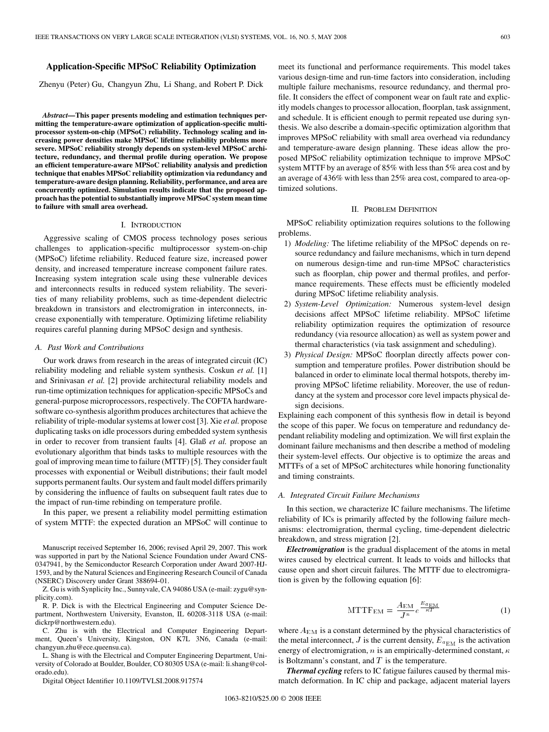# **Application-Specific MPSoC Reliability Optimization**

Zhenyu (Peter) Gu, Changyun Zhu, Li Shang, and Robert P. Dick

*Abstract—***This paper presents modeling and estimation techniques permitting the temperature-aware optimization of application-specific multiprocessor system-on-chip (MPSoC) reliability. Technology scaling and increasing power densities make MPSoC lifetime reliability problems more severe. MPSoC reliability strongly depends on system-level MPSoC architecture, redundancy, and thermal profile during operation. We propose an efficient temperature-aware MPSoC reliability analysis and prediction technique that enables MPSoC reliability optimization via redundancy and temperature-aware design planning. Reliability, performance, and area are concurrently optimized. Simulation results indicate that the proposed approach has the potential to substantially improve MPSoC system mean time to failure with small area overhead.**

## I. INTRODUCTION

Aggressive scaling of CMOS process technology poses serious challenges to application-specific multiprocessor system-on-chip (MPSoC) lifetime reliability. Reduced feature size, increased power density, and increased temperature increase component failure rates. Increasing system integration scale using these vulnerable devices and interconnects results in reduced system reliability. The severities of many reliability problems, such as time-dependent dielectric breakdown in transistors and electromigration in interconnects, increase exponentially with temperature. Optimizing lifetime reliability requires careful planning during MPSoC design and synthesis.

### *A. Past Work and Contributions*

Our work draws from research in the areas of integrated circuit (IC) reliability modeling and reliable system synthesis. Coskun *et al.* [1] and Srinivasan *et al.* [2] provide architectural reliability models and run-time optimization techniques for application-specific MPSoCs and general-purpose microprocessors, respectively. The COFTA hardwaresoftware co-synthesis algorithm produces architectures that achieve the reliability of triple-modular systems at lower cost [3]. Xie *et al.* propose duplicating tasks on idle processors during embedded system synthesis in order to recover from transient faults [4]. Glaß *et al.* propose an evolutionary algorithm that binds tasks to multiple resources with the goal of improving mean time to failure (MTTF) [5]. They consider fault processes with exponential or Weibull distributions; their fault model supports permanent faults. Our system and fault model differs primarily by considering the influence of faults on subsequent fault rates due to the impact of run-time rebinding on temperature profile.

In this paper, we present a reliability model permitting estimation of system MTTF: the expected duration an MPSoC will continue to

Manuscript received September 16, 2006; revised April 29, 2007. This work was supported in part by the National Science Foundation under Award CNS-0347941, by the Semiconductor Research Corporation under Award 2007-HJ-1593, and by the Natural Sciences and Engineering Research Council of Canada (NSERC) Discovery under Grant 388694-01.

Z. Gu is with Synplicity Inc., Sunnyvale, CA 94086 USA (e-mail: zygu@synplicity.com).

R. P. Dick is with the Electrical Engineering and Computer Science Department, Northwestern University, Evanston, IL 60208-3118 USA (e-mail: dickrp@northwestern.edu).

C. Zhu is with the Electrical and Computer Engineering Department, Queen's University, Kingston, ON K7L 3N6, Canada (e-mail: changyun.zhu@ece.queensu.ca).

L. Shang is with the Electrical and Computer Engineering Department, University of Colorado at Boulder, Boulder, CO 80305 USA (e-mail: li.shang@colorado.edu).

Digital Object Identifier 10.1109/TVLSI.2008.917574

meet its functional and performance requirements. This model takes various design-time and run-time factors into consideration, including multiple failure mechanisms, resource redundancy, and thermal profile. It considers the effect of component wear on fault rate and explicitly models changes to processor allocation, floorplan, task assignment, and schedule. It is efficient enough to permit repeated use during synthesis. We also describe a domain-specific optimization algorithm that improves MPSoC reliability with small area overhead via redundancy and temperature-aware design planning. These ideas allow the proposed MPSoC reliability optimization technique to improve MPSoC system MTTF by an average of 85% with less than 5% area cost and by an average of 436% with less than 25% area cost, compared to area-optimized solutions.

### II. PROBLEM DEFINITION

MPSoC reliability optimization requires solutions to the following problems.

- 1) *Modeling:* The lifetime reliability of the MPSoC depends on resource redundancy and failure mechanisms, which in turn depend on numerous design-time and run-time MPSoC characteristics such as floorplan, chip power and thermal profiles, and performance requirements. These effects must be efficiently modeled during MPSoC lifetime reliability analysis.
- 2) *System-Level Optimization:* Numerous system-level design decisions affect MPSoC lifetime reliability. MPSoC lifetime reliability optimization requires the optimization of resource redundancy (via resource allocation) as well as system power and thermal characteristics (via task assignment and scheduling).
- 3) *Physical Design:* MPSoC floorplan directly affects power consumption and temperature profiles. Power distribution should be balanced in order to eliminate local thermal hotspots, thereby improving MPSoC lifetime reliability. Moreover, the use of redundancy at the system and processor core level impacts physical design decisions.

Explaining each component of this synthesis flow in detail is beyond the scope of this paper. We focus on temperature and redundancy dependant reliability modeling and optimization. We will first explain the dominant failure mechanisms and then describe a method of modeling their system-level effects. Our objective is to optimize the areas and MTTFs of a set of MPSoC architectures while honoring functionality and timing constraints.

#### *A. Integrated Circuit Failure Mechanisms*

In this section, we characterize IC failure mechanisms. The lifetime reliability of ICs is primarily affected by the following failure mechanisms: electromigration, thermal cycling, time-dependent dielectric breakdown, and stress migration [2].

*Electromigration* is the gradual displacement of the atoms in metal wires caused by electrical current. It leads to voids and hillocks that cause open and short circuit failures. The MTTF due to electromigration is given by the following equation [6]:

$$
MTTF_{EM} = \frac{A_{EM}}{J^n} e^{\frac{E_{aEM}}{\kappa T}}
$$
 (1)

where  $A_{EM}$  is a constant determined by the physical characteristics of the metal interconnect, J is the current density,  $E_{a_{\text{EM}}}$  is the activation energy of electromigration,  $n$  is an empirically-determined constant,  $\kappa$ is Boltzmann's constant, and  $T$  is the temperature.

*Thermal cycling* refers to IC fatigue failures caused by thermal mismatch deformation. In IC chip and package, adjacent material layers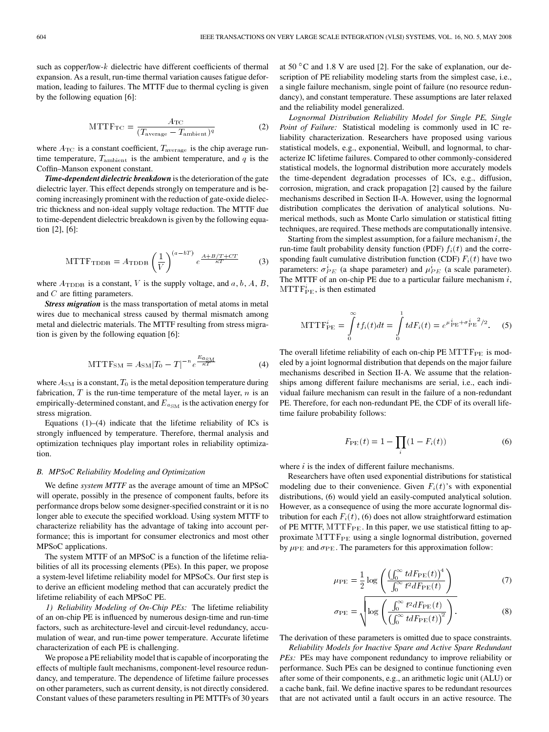such as copper/low- $k$  dielectric have different coefficients of thermal expansion. As a result, run-time thermal variation causes fatigue deformation, leading to failures. The MTTF due to thermal cycling is given by the following equation [6]:

$$
MTTF_{TC} = \frac{A_{TC}}{(T_{\text{average}} - T_{\text{ambient}})^q}
$$
 (2)

where  $A_{\text{TC}}$  is a constant coefficient,  $T_{\text{average}}$  is the chip average runtime temperature,  $T_{\text{ambient}}$  is the ambient temperature, and q is the Coffin–Manson exponent constant.

*Time-dependent dielectric breakdown* is the deterioration of the gate dielectric layer. This effect depends strongly on temperature and is becoming increasingly prominent with the reduction of gate-oxide dielectric thickness and non-ideal supply voltage reduction. The MTTF due to time-dependent dielectric breakdown is given by the following equation [2], [6]:

$$
MTTF_{\text{TDDB}} = A_{\text{TDDB}} \left(\frac{1}{V}\right)^{(a-bT)} e^{\frac{A+B/T+CT}{\kappa T}} \tag{3}
$$

where  $A_{\text{TDDB}}$  is a constant, V is the supply voltage, and a, b, A, B, and C are fitting parameters.

*Stress migration* is the mass transportation of metal atoms in metal wires due to mechanical stress caused by thermal mismatch among metal and dielectric materials. The MTTF resulting from stress migration is given by the following equation [6]:

$$
MTTF_{SM} = A_{SM}|T_0 - T|^{-n}e^{\frac{E_{aSM}}{\kappa T}}
$$
 (4)

where  $A_{\text{SM}}$  is a constant,  $T_0$  is the metal deposition temperature during fabrication,  $T$  is the run-time temperature of the metal layer,  $n$  is an empirically-determined constant, and  $E_{a_{\rm SM}}$  is the activation energy for stress migration.

Equations  $(1)$ – $(4)$  indicate that the lifetime reliability of ICs is strongly influenced by temperature. Therefore, thermal analysis and optimization techniques play important roles in reliability optimization.

#### *B. MPSoC Reliability Modeling and Optimization*

We define *system MTTF* as the average amount of time an MPSoC will operate, possibly in the presence of component faults, before its performance drops below some designer-specified constraint or it is no longer able to execute the specified workload. Using system MTTF to characterize reliability has the advantage of taking into account performance; this is important for consumer electronics and most other MPSoC applications.

The system MTTF of an MPSoC is a function of the lifetime reliabilities of all its processing elements (PEs). In this paper, we propose a system-level lifetime reliability model for MPSoCs. Our first step is to derive an efficient modeling method that can accurately predict the lifetime reliability of each MPSoC PE.

*1) Reliability Modeling of On-Chip PEs:* The lifetime reliability of an on-chip PE is influenced by numerous design-time and run-time factors, such as architecture-level and circuit-level redundancy, accumulation of wear, and run-time power temperature. Accurate lifetime characterization of each PE is challenging.

We propose a PE reliability model that is capable of incorporating the effects of multiple fault mechanisms, component-level resource redundancy, and temperature. The dependence of lifetime failure processes on other parameters, such as current density, is not directly considered. Constant values of these parameters resulting in PE MTTFs of 30 years at 50  $^{\circ}$ C and 1.8 V are used [2]. For the sake of explanation, our description of PE reliability modeling starts from the simplest case, i.e., a single failure mechanism, single point of failure (no resource redundancy), and constant temperature. These assumptions are later relaxed and the reliability model generalized.

*Lognormal Distribution Reliability Model for Single PE, Single Point of Failure:* Statistical modeling is commonly used in IC reliability characterization. Researchers have proposed using various statistical models, e.g., exponential, Weibull, and lognormal, to characterize IC lifetime failures. Compared to other commonly-considered statistical models, the lognormal distribution more accurately models the time-dependent degradation processes of ICs, e.g., diffusion, corrosion, migration, and crack propagation [2] caused by the failure mechanisms described in Section II-A. However, using the lognormal distribution complicates the derivation of analytical solutions. Numerical methods, such as Monte Carlo simulation or statistical fitting techniques, are required. These methods are computationally intensive.

Starting from the simplest assumption, for a failure mechanism  $i$ , the run-time fault probability density function (PDF)  $f_i(t)$  and the corresponding fault cumulative distribution function (CDF)  $F_i(t)$  have two parameters:  $\sigma_{PE}^{i}$  (a shape parameter) and  $\mu_{PE}^{i}$  (a scale parameter). The MTTF of an on-chip PE due to a particular failure mechanism  $i$ ,  $MTTF_{PE}^{i}$ , is then estimated

$$
MTTF_{\rm PE}^{i} = \int_{0}^{\infty} t f_i(t) dt = \int_{0}^{1} t dF_i(t) = e^{\mu_{\rm PE}^{i} + \sigma_{\rm PE}^{i}^{2}/2}.
$$
 (5)

The overall lifetime reliability of each on-chip  $PE MTTF_{PE}$  is modeled by a joint lognormal distribution that depends on the major failure mechanisms described in Section II-A. We assume that the relationships among different failure mechanisms are serial, i.e., each individual failure mechanism can result in the failure of a non-redundant PE. Therefore, for each non-redundant PE, the CDF of its overall lifetime failure probability follows:

$$
F_{\rm PE}(t) = 1 - \prod_i (1 - F_i(t))
$$
 (6)

where  $i$  is the index of different failure mechanisms.

Researchers have often used exponential distributions for statistical modeling due to their convenience. Given  $F_i(t)$ 's with exponential distributions, (6) would yield an easily-computed analytical solution. However, as a consequence of using the more accurate lognormal distribution for each  $F_i(t)$ , (6) does not allow straightforward estimation of PE MTTF,  $MTTF_{PE}$ . In this paper, we use statistical fitting to approximate MTTF<sub>PE</sub> using a single lognormal distribution, governed by  $\mu_{\text{PE}}$  and  $\sigma_{\text{PE}}$ . The parameters for this approximation follow:

$$
\mu_{\rm PE} = \frac{1}{2} \log \left( \frac{\left( \int_0^\infty t dF_{\rm PE}(t) \right)^4}{\int_0^\infty t^2 dF_{\rm PE}(t)} \right) \tag{7}
$$

$$
\sigma_{\rm PE} = \sqrt{\log\left(\frac{\int_0^\infty t^2 dF_{\rm PE}(t)}{\left(\int_0^\infty t dF_{\rm PE}(t)\right)^2}\right)}.
$$
 (8)

The derivation of these parameters is omitted due to space constraints.

*Reliability Models for Inactive Spare and Active Spare Redundant PEs:* PEs may have component redundancy to improve reliability or performance. Such PEs can be designed to continue functioning even after some of their components, e.g., an arithmetic logic unit (ALU) or a cache bank, fail. We define inactive spares to be redundant resources that are not activated until a fault occurs in an active resource. The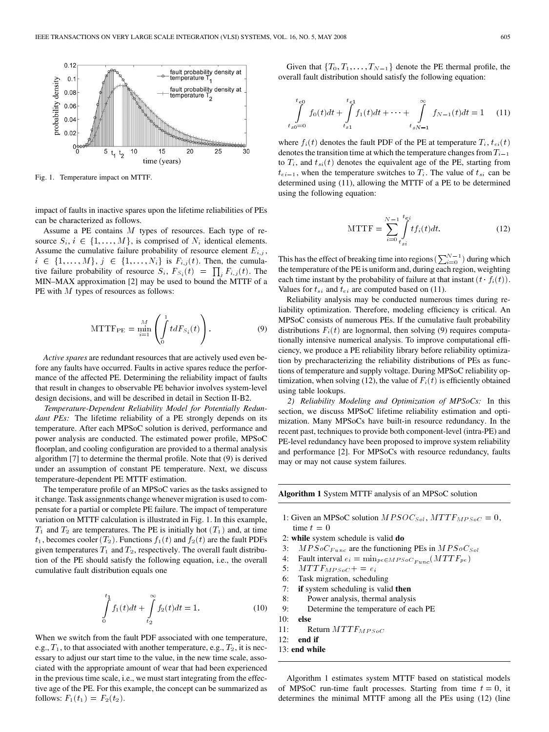

Fig. 1. Temperature impact on MTTF.

impact of faults in inactive spares upon the lifetime reliabilities of PEs can be characterized as follows.

Assume a PE contains M types of resources. Each type of resource  $S_i, i \in \{1, \ldots, M\}$ , is comprised of  $N_i$  identical elements. Assume the cumulative failure probability of resource element  $E_{i,j}$ ,  $i \in \{1, ..., M\}, j \in \{1, ..., N_i\}$  is  $F_{i,j}(t)$ . Then, the cumulative failure probability of resource  $S_i$ ,  $F_{S_i}(t) = \prod_i F_{i,j}(t)$ . The MIN–MAX approximation [2] may be used to bound the MTTF of a PE with M types of resources as follows:

$$
MTTF_{PE} = \min_{i=1}^{M} \left( \int_{0}^{1} t dF_{S_i}(t) \right).
$$
 (9)

*Active spares* are redundant resources that are actively used even before any faults have occurred. Faults in active spares reduce the performance of the affected PE. Determining the reliability impact of faults that result in changes to observable PE behavior involves system-level design decisions, and will be described in detail in Section II-B2.

*Temperature-Dependent Reliability Model for Potentially Redundant PEs:* The lifetime reliability of a PE strongly depends on its temperature. After each MPSoC solution is derived, performance and power analysis are conducted. The estimated power profile, MPSoC floorplan, and cooling configuration are provided to a thermal analysis algorithm [7] to determine the thermal profile. Note that (9) is derived under an assumption of constant PE temperature. Next, we discuss temperature-dependent PE MTTF estimation.

The temperature profile of an MPSoC varies as the tasks assigned to it change. Task assignments change whenever migration is used to compensate for a partial or complete PE failure. The impact of temperature variation on MTTF calculation is illustrated in Fig. 1. In this example,  $T_1$  and  $T_2$  are temperatures. The PE is initially hot  $(T_1)$  and, at time  $t_1$ , becomes cooler  $(T_2)$ . Functions  $f_1(t)$  and  $f_2(t)$  are the fault PDFs given temperatures  $T_1$  and  $T_2$ , respectively. The overall fault distribution of the PE should satisfy the following equation, i.e., the overall cumulative fault distribution equals one

$$
\int_{0}^{t_1} f_1(t)dt + \int_{t_2}^{\infty} f_2(t)dt = 1.
$$
 (10)

When we switch from the fault PDF associated with one temperature, e.g.,  $T_1$ , to that associated with another temperature, e.g.,  $T_2$ , it is necessary to adjust our start time to the value, in the new time scale, associated with the appropriate amount of wear that had been experienced in the previous time scale, i.e., we must start integrating from the effective age of the PE. For this example, the concept can be summarized as follows:  $F_1(t_1) = F_2(t_2)$ .

Given that  $\{T_0, T_1, \ldots, T_{N-1}\}\$  denote the PE thermal profile, the overall fault distribution should satisfy the following equation:

$$
\int_{t_{s0}=0}^{t_{e0}} f_0(t)dt + \int_{t_{s1}}^{t_{e1}} f_1(t)dt + \dots + \int_{t_{sN-1}}^{\infty} f_{N-1}(t)dt = 1 \quad (11)
$$

where  $f_i(t)$  denotes the fault PDF of the PE at temperature  $T_i$ ,  $t_{ei}(t)$ denotes the transition time at which the temperature changes from  $T_{i-1}$ to  $T_i$ , and  $t_{si}(t)$  denotes the equivalent age of the PE, starting from  $t_{ei-1}$ , when the temperature switches to  $T_i$ . The value of  $t_{si}$  can be determined using (11), allowing the MTTF of a PE to be determined using the following equation:

$$
MTTF = \sum_{i=0}^{N-1} \int_{t_{si}}^{t_{ei}} t f_i(t) dt.
$$
 (12)

This has the effect of breaking time into regions  $(\sum_{i=0}^{N-1})$  during which the temperature of the PE is uniform and, during each region, weighting each time instant by the probability of failure at that instant  $(t \cdot f_i(t))$ . Values for  $t_{si}$  and  $t_{ei}$  are computed based on (11).

Reliability analysis may be conducted numerous times during reliability optimization. Therefore, modeling efficiency is critical. An MPSoC consists of numerous PEs. If the cumulative fault probability distributions  $F_i(t)$  are lognormal, then solving (9) requires computationally intensive numerical analysis. To improve computational efficiency, we produce a PE reliability library before reliability optimization by precharacterizing the reliability distributions of PEs as functions of temperature and supply voltage. During MPSoC reliability optimization, when solving (12), the value of  $F_i(t)$  is efficiently obtained using table lookups.

*2) Reliability Modeling and Optimization of MPSoCs:* In this section, we discuss MPSoC lifetime reliability estimation and optimization. Many MPSoCs have built-in resource redundancy. In the recent past, techniques to provide both component-level (intra-PE) and PE-level redundancy have been proposed to improve system reliability and performance [2]. For MPSoCs with resource redundancy, faults may or may not cause system failures.

**Algorithm 1** System MTTF analysis of an MPSoC solution

- 1: Given an MPSoC solution  $MPSOC_{Sol}$ ,  $MTTF_{MPSoC} = 0$ , time  $t = 0$
- 2: **while** system schedule is valid **do**
- 3:  $MPSoC_{Func}$  are the functioning PEs in  $MPSoC_{Sol}$
- 4: Fault interval  $e_i = \min_{pe \in MPS \circ C_{Func}} (MTTF_{pe})$
- 5:  $MTTF_{MPSoC} += e_i$
- 6: Task migration, scheduling
- 7: **if** system scheduling is valid **then**
- 8: Power analysis, thermal analysis
- 9: Determine the temperature of each PE
- 10: **else**
- 11: Return  $MTTF_{MPSOC}$
- 12: **end if**
- 13: **end while**

Algorithm 1 estimates system MTTF based on statistical models of MPSoC run-time fault processes. Starting from time  $t = 0$ , it determines the minimal MTTF among all the PEs using (12) (line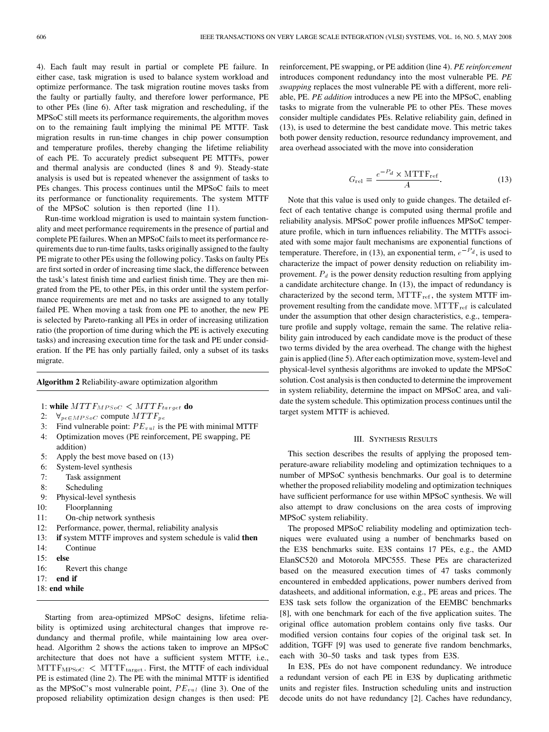4). Each fault may result in partial or complete PE failure. In either case, task migration is used to balance system workload and optimize performance. The task migration routine moves tasks from the faulty or partially faulty, and therefore lower performance, PE to other PEs (line 6). After task migration and rescheduling, if the MPSoC still meets its performance requirements, the algorithm moves on to the remaining fault implying the minimal PE MTTF. Task migration results in run-time changes in chip power consumption and temperature profiles, thereby changing the lifetime reliability of each PE. To accurately predict subsequent PE MTTFs, power and thermal analysis are conducted (lines 8 and 9). Steady-state analysis is used but is repeated whenever the assignment of tasks to PEs changes. This process continues until the MPSoC fails to meet its performance or functionality requirements. The system MTTF of the MPSoC solution is then reported (line 11).

Run-time workload migration is used to maintain system functionality and meet performance requirements in the presence of partial and complete PE failures. When an MPSoC fails to meet its performance requirements due to run-time faults, tasks originally assigned to the faulty PE migrate to other PEs using the following policy. Tasks on faulty PEs are first sorted in order of increasing time slack, the difference between the task's latest finish time and earliest finish time. They are then migrated from the PE, to other PEs, in this order until the system performance requirements are met and no tasks are assigned to any totally failed PE. When moving a task from one PE to another, the new PE is selected by Pareto-ranking all PEs in order of increasing utilization ratio (the proportion of time during which the PE is actively executing tasks) and increasing execution time for the task and PE under consideration. If the PE has only partially failed, only a subset of its tasks migrate.

**Algorithm 2** Reliability-aware optimization algorithm

1: **while**  $MTTF_{MPSoC} < MTTF_{target}$  do

- 2:  $\forall_{pe \in MPS \circ C}$  compute  $MTTF_{pe}$
- 3: Find vulnerable point:  $PE_{vul}$  is the PE with minimal MTTF
- 4: Optimization moves (PE reinforcement, PE swapping, PE addition)
- 5: Apply the best move based on (13)
- 6: System-level synthesis
- 7: Task assignment
- 8: Scheduling
- 9: Physical-level synthesis
- 10: Floorplanning
- 11: On-chip network synthesis
- 12: Performance, power, thermal, reliability analysis
- 13: **if** system MTTF improves and system schedule is valid **then**
- 14: Continue
- 15: **else**
- 16: Revert this change
- 17: **end if**
- 18: **end while**

Starting from area-optimized MPSoC designs, lifetime reliability is optimized using architectural changes that improve redundancy and thermal profile, while maintaining low area overhead. Algorithm 2 shows the actions taken to improve an MPSoC architecture that does not have a sufficient system MTTF, i.e.,  $MTTF_{MPSoC} < MTTF_{\text{target}}$ . First, the MTTF of each individual PE is estimated (line 2). The PE with the minimal MTTF is identified as the MPSoC's most vulnerable point,  $PE_{vul}$  (line 3). One of the proposed reliability optimization design changes is then used: PE reinforcement, PE swapping, or PE addition (line 4). *PE reinforcement* introduces component redundancy into the most vulnerable PE. *PE swapping* replaces the most vulnerable PE with a different, more reliable, PE. *PE addition* introduces a new PE into the MPSoC, enabling tasks to migrate from the vulnerable PE to other PEs. These moves consider multiple candidates PEs. Relative reliability gain, defined in (13), is used to determine the best candidate move. This metric takes both power density reduction, resource redundancy improvement, and area overhead associated with the move into consideration

$$
G_{\rm rel} = \frac{e^{-P_d} \times \text{MTTF}_{\rm ref}}{A}.
$$
 (13)

Note that this value is used only to guide changes. The detailed effect of each tentative change is computed using thermal profile and reliability analysis. MPSoC power profile influences MPSoC temperature profile, which in turn influences reliability. The MTTFs associated with some major fault mechanisms are exponential functions of temperature. Therefore, in (13), an exponential term,  $e^{-P_d}$ , is used to characterize the impact of power density reduction on reliability improvement.  $P_d$  is the power density reduction resulting from applying a candidate architecture change. In (13), the impact of redundancy is characterized by the second term,  $MTTF_{ref}$ , the system MTTF improvement resulting from the candidate move.  $MTTF_{ref}$  is calculated under the assumption that other design characteristics, e.g., temperature profile and supply voltage, remain the same. The relative reliability gain introduced by each candidate move is the product of these two terms divided by the area overhead. The change with the highest gain is applied (line 5). After each optimization move, system-level and physical-level synthesis algorithms are invoked to update the MPSoC solution. Cost analysis is then conducted to determine the improvement in system reliability, determine the impact on MPSoC area, and validate the system schedule. This optimization process continues until the target system MTTF is achieved.

## III. SYNTHESIS RESULTS

This section describes the results of applying the proposed temperature-aware reliability modeling and optimization techniques to a number of MPSoC synthesis benchmarks. Our goal is to determine whether the proposed reliability modeling and optimization techniques have sufficient performance for use within MPSoC synthesis. We will also attempt to draw conclusions on the area costs of improving MPSoC system reliability.

The proposed MPSoC reliability modeling and optimization techniques were evaluated using a number of benchmarks based on the E3S benchmarks suite. E3S contains 17 PEs, e.g., the AMD ElanSC520 and Motorola MPC555. These PEs are characterized based on the measured execution times of 47 tasks commonly encountered in embedded applications, power numbers derived from datasheets, and additional information, e.g., PE areas and prices. The E3S task sets follow the organization of the EEMBC benchmarks [8], with one benchmark for each of the five application suites. The original office automation problem contains only five tasks. Our modified version contains four copies of the original task set. In addition, TGFF [9] was used to generate five random benchmarks, each with 30–50 tasks and task types from E3S.

In E3S, PEs do not have component redundancy. We introduce a redundant version of each PE in E3S by duplicating arithmetic units and register files. Instruction scheduling units and instruction decode units do not have redundancy [2]. Caches have redundancy,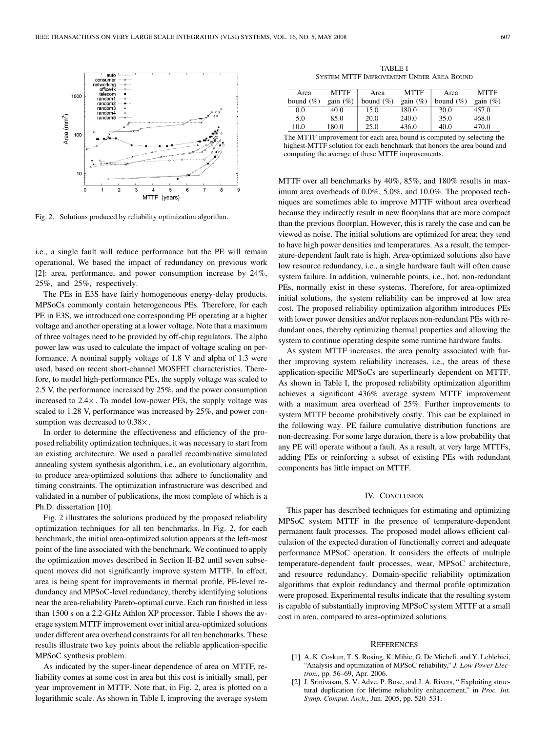

Fig. 2. Solutions produced by reliability optimization algorithm.

i.e., a single fault will reduce performance but the PE will remain operational. We based the impact of redundancy on previous work [2]: area, performance, and power consumption increase by 24%, 25%, and 25%, respectively.

The PEs in E3S have fairly homogeneous energy-delay products. MPSoCs commonly contain heterogeneous PEs. Therefore, for each PE in E3S, we introduced one corresponding PE operating at a higher voltage and another operating at a lower voltage. Note that a maximum of three voltages need to be provided by off-chip regulators. The alpha power law was used to calculate the impact of voltage scaling on performance. A nominal supply voltage of 1.8 V and alpha of 1.3 were used, based on recent short-channel MOSFET characteristics. Therefore, to model high-performance PEs, the supply voltage was scaled to 2.5 V, the performance increased by 25%, and the power consumption increased to 2.4×. To model low-power PEs, the supply voltage was scaled to 1.28 V, performance was increased by 25%, and power consumption was decreased to  $0.38 \times$ .

In order to determine the effectiveness and efficiency of the proposed reliability optimization techniques, it was necessary to start from an existing architecture. We used a parallel recombinative simulated annealing system synthesis algorithm, i.e., an evolutionary algorithm, to produce area-optimized solutions that adhere to functionality and timing constraints. The optimization infrastructure was described and validated in a number of publications, the most complete of which is a Ph.D. dissertation [10].

Fig. 2 illustrates the solutions produced by the proposed reliability optimization techniques for all ten benchmarks. In Fig. 2, for each benchmark, the initial area-optimized solution appears at the left-most point of the line associated with the benchmark. We continued to apply the optimization moves described in Section II-B2 until seven subsequent moves did not significantly improve system MTTF. In effect, area is being spent for improvements in thermal profile, PE-level redundancy and MPSoC-level redundancy, thereby identifying solutions near the area-reliability Pareto-optimal curve. Each run finished in less than 1500 s on a 2.2-GHz Athlon XP processor. Table I shows the average system MTTF improvement over initial area-optimized solutions under different area overhead constraints for all ten benchmarks. These results illustrate two key points about the reliable application-specific MPSoC synthesis problem.

As indicated by the super-linear dependence of area on MTTF, reliability comes at some cost in area but this cost is initially small, per year improvement in MTTF. Note that, in Fig. 2, area is plotted on a logarithmic scale. As shown in Table I, improving the average system

TABLE I SYSTEM MTTF IMPROVEMENT UNDER AREA BOUND

| Area          | <b>MTTF</b> | Area          | MTTF       | Area          | <b>MTTF</b> |
|---------------|-------------|---------------|------------|---------------|-------------|
| bound $(\% )$ | gain $(\%)$ | bound $(\% )$ | gain $(\%$ | bound $(\% )$ | gain $(\%)$ |
| 0.0           | 40.0        | 15.0          | 180.0      | 30.0          | 457.0       |
| 5.0           | 85.0        | 20.0          | 240.0      | 35.0          | 468.0       |
| 10.0          | 180.0       | 25.0          | 436.0      | 40.0          | 470.0       |

The MTTF improvement for each area bound is computed by selecting the highest-MTTF solution for each benchmark that honors the area bound and computing the average of these MTTF improvements.

MTTF over all benchmarks by 40%, 85%, and 180% results in maximum area overheads of 0.0%, 5.0%, and 10.0%. The proposed techniques are sometimes able to improve MTTF without area overhead because they indirectly result in new floorplans that are more compact than the previous floorplan. However, this is rarely the case and can be viewed as noise. The initial solutions are optimized for area; they tend to have high power densities and temperatures. As a result, the temperature-dependent fault rate is high. Area-optimized solutions also have low resource redundancy, i.e., a single hardware fault will often cause system failure. In addition, vulnerable points, i.e., hot, non-redundant PEs, normally exist in these systems. Therefore, for area-optimized initial solutions, the system reliability can be improved at low area cost. The proposed reliability optimization algorithm introduces PEs with lower power densities and/or replaces non-redundant PEs with redundant ones, thereby optimizing thermal properties and allowing the system to continue operating despite some runtime hardware faults.

As system MTTF increases, the area penalty associated with further improving system reliability increases, i.e., the areas of these application-specific MPSoCs are superlinearly dependent on MTTF. As shown in Table I, the proposed reliability optimization algorithm achieves a significant 436% average system MTTF improvement with a maximum area overhead of 25%. Further improvements to system MTTF become prohibitively costly. This can be explained in the following way. PE failure cumulative distribution functions are non-decreasing. For some large duration, there is a low probability that any PE will operate without a fault. As a result, at very large MTTFs, adding PEs or reinforcing a subset of existing PEs with redundant components has little impact on MTTF.

## IV. CONCLUSION

This paper has described techniques for estimating and optimizing MPSoC system MTTF in the presence of temperature-dependent permanent fault processes. The proposed model allows efficient calculation of the expected duration of functionally correct and adequate performance MPSoC operation. It considers the effects of multiple temperature-dependent fault processes, wear, MPSoC architecture, and resource redundancy. Domain-specific reliability optimization algorithms that exploit redundancy and thermal profile optimization were proposed. Experimental results indicate that the resulting system is capable of substantially improving MPSoC system MTTF at a small cost in area, compared to area-optimized solutions.

### **REFERENCES**

- [1] A. K. Coskun, T. S. Rosing, K. Mihic, G. De Micheli, and Y. Leblebici, "Analysis and optimization of MPSoC reliability," *J. Low Power Electron.*, pp. 56–69, Apr. 2006.
- [2] J. Srinivasan, S. V. Adve, P. Bose, and J. A. Rivers, " Exploiting structural duplication for lifetime reliability enhancement," in *Proc. Int. Symp. Comput. Arch.*, Jun. 2005, pp. 520–531.